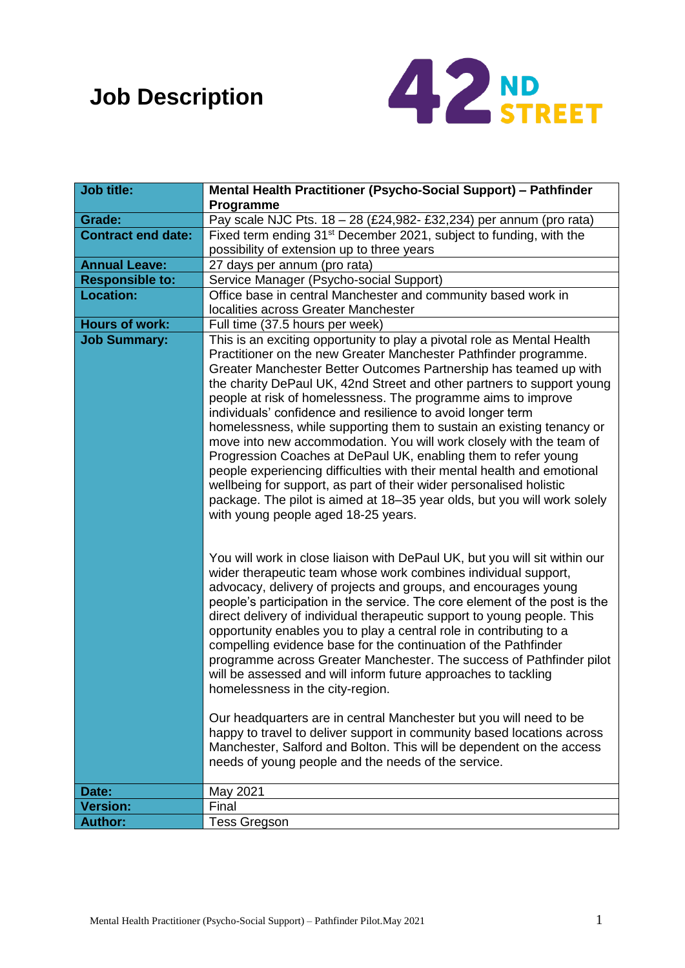# **Job Description**



| <b>Job title:</b>         | Mental Health Practitioner (Psycho-Social Support) - Pathfinder                                                                                                                                                                                                                                                                                                                                                                                                                                                                                                                                                                                                                                                                                                                                                                                                                                                   |  |  |  |
|---------------------------|-------------------------------------------------------------------------------------------------------------------------------------------------------------------------------------------------------------------------------------------------------------------------------------------------------------------------------------------------------------------------------------------------------------------------------------------------------------------------------------------------------------------------------------------------------------------------------------------------------------------------------------------------------------------------------------------------------------------------------------------------------------------------------------------------------------------------------------------------------------------------------------------------------------------|--|--|--|
|                           | Programme                                                                                                                                                                                                                                                                                                                                                                                                                                                                                                                                                                                                                                                                                                                                                                                                                                                                                                         |  |  |  |
| Grade:                    | Pay scale NJC Pts. 18 - 28 (£24,982- £32,234) per annum (pro rata)                                                                                                                                                                                                                                                                                                                                                                                                                                                                                                                                                                                                                                                                                                                                                                                                                                                |  |  |  |
| <b>Contract end date:</b> | Fixed term ending 31 <sup>st</sup> December 2021, subject to funding, with the                                                                                                                                                                                                                                                                                                                                                                                                                                                                                                                                                                                                                                                                                                                                                                                                                                    |  |  |  |
|                           | possibility of extension up to three years                                                                                                                                                                                                                                                                                                                                                                                                                                                                                                                                                                                                                                                                                                                                                                                                                                                                        |  |  |  |
| <b>Annual Leave:</b>      | 27 days per annum (pro rata)                                                                                                                                                                                                                                                                                                                                                                                                                                                                                                                                                                                                                                                                                                                                                                                                                                                                                      |  |  |  |
| <b>Responsible to:</b>    | Service Manager (Psycho-social Support)                                                                                                                                                                                                                                                                                                                                                                                                                                                                                                                                                                                                                                                                                                                                                                                                                                                                           |  |  |  |
| <b>Location:</b>          | Office base in central Manchester and community based work in<br>localities across Greater Manchester                                                                                                                                                                                                                                                                                                                                                                                                                                                                                                                                                                                                                                                                                                                                                                                                             |  |  |  |
| <b>Hours of work:</b>     | Full time (37.5 hours per week)                                                                                                                                                                                                                                                                                                                                                                                                                                                                                                                                                                                                                                                                                                                                                                                                                                                                                   |  |  |  |
| <b>Job Summary:</b>       | This is an exciting opportunity to play a pivotal role as Mental Health<br>Practitioner on the new Greater Manchester Pathfinder programme.<br>Greater Manchester Better Outcomes Partnership has teamed up with<br>the charity DePaul UK, 42nd Street and other partners to support young<br>people at risk of homelessness. The programme aims to improve<br>individuals' confidence and resilience to avoid longer term<br>homelessness, while supporting them to sustain an existing tenancy or<br>move into new accommodation. You will work closely with the team of<br>Progression Coaches at DePaul UK, enabling them to refer young<br>people experiencing difficulties with their mental health and emotional<br>wellbeing for support, as part of their wider personalised holistic<br>package. The pilot is aimed at 18–35 year olds, but you will work solely<br>with young people aged 18-25 years. |  |  |  |
|                           | You will work in close liaison with DePaul UK, but you will sit within our<br>wider therapeutic team whose work combines individual support,<br>advocacy, delivery of projects and groups, and encourages young<br>people's participation in the service. The core element of the post is the<br>direct delivery of individual therapeutic support to young people. This<br>opportunity enables you to play a central role in contributing to a<br>compelling evidence base for the continuation of the Pathfinder<br>programme across Greater Manchester. The success of Pathfinder pilot<br>will be assessed and will inform future approaches to tackling<br>homelessness in the city-region.                                                                                                                                                                                                                  |  |  |  |
|                           | Our headquarters are in central Manchester but you will need to be<br>happy to travel to deliver support in community based locations across<br>Manchester, Salford and Bolton. This will be dependent on the access<br>needs of young people and the needs of the service.                                                                                                                                                                                                                                                                                                                                                                                                                                                                                                                                                                                                                                       |  |  |  |
| Date:                     | May 2021                                                                                                                                                                                                                                                                                                                                                                                                                                                                                                                                                                                                                                                                                                                                                                                                                                                                                                          |  |  |  |
| <b>Version:</b>           | Final                                                                                                                                                                                                                                                                                                                                                                                                                                                                                                                                                                                                                                                                                                                                                                                                                                                                                                             |  |  |  |
| <b>Author:</b>            | <b>Tess Gregson</b>                                                                                                                                                                                                                                                                                                                                                                                                                                                                                                                                                                                                                                                                                                                                                                                                                                                                                               |  |  |  |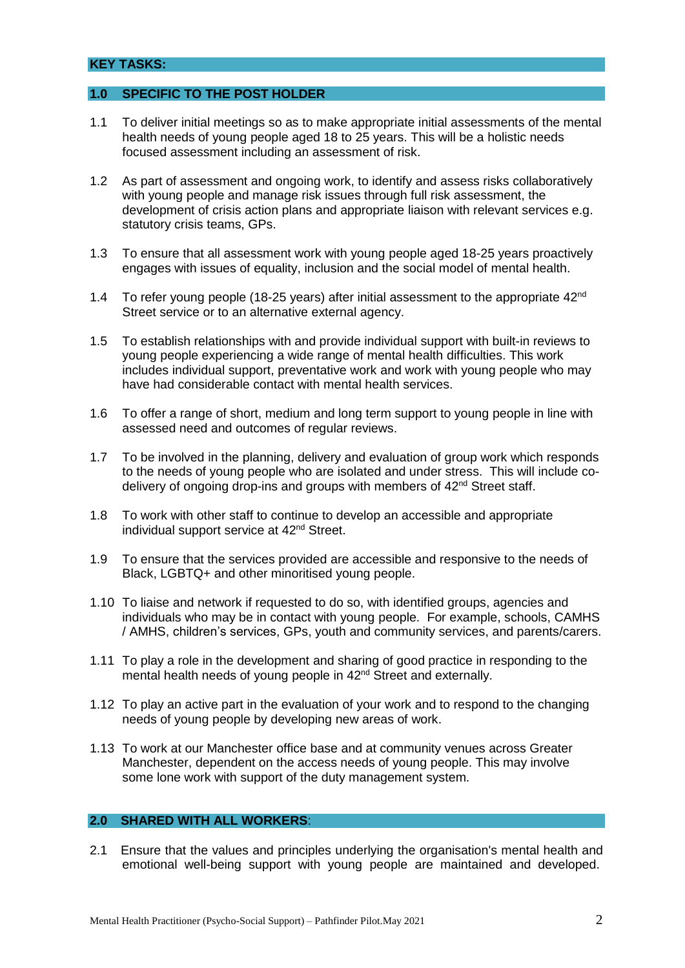### **KEY TASKS:**

### **1.0 SPECIFIC TO THE POST HOLDER**

- 1.1 To deliver initial meetings so as to make appropriate initial assessments of the mental health needs of young people aged 18 to 25 years. This will be a holistic needs focused assessment including an assessment of risk.
- 1.2 As part of assessment and ongoing work, to identify and assess risks collaboratively with young people and manage risk issues through full risk assessment, the development of crisis action plans and appropriate liaison with relevant services e.g. statutory crisis teams, GPs.
- 1.3 To ensure that all assessment work with young people aged 18-25 years proactively engages with issues of equality, inclusion and the social model of mental health.
- 1.4 To refer young people (18-25 years) after initial assessment to the appropriate  $42<sup>nd</sup>$ Street service or to an alternative external agency.
- 1.5 To establish relationships with and provide individual support with built-in reviews to young people experiencing a wide range of mental health difficulties. This work includes individual support, preventative work and work with young people who may have had considerable contact with mental health services.
- 1.6 To offer a range of short, medium and long term support to young people in line with assessed need and outcomes of regular reviews.
- 1.7 To be involved in the planning, delivery and evaluation of group work which responds to the needs of young people who are isolated and under stress. This will include codelivery of ongoing drop-ins and groups with members of 42<sup>nd</sup> Street staff.
- 1.8 To work with other staff to continue to develop an accessible and appropriate individual support service at 42<sup>nd</sup> Street.
- 1.9 To ensure that the services provided are accessible and responsive to the needs of Black, LGBTQ+ and other minoritised young people.
- 1.10 To liaise and network if requested to do so, with identified groups, agencies and individuals who may be in contact with young people. For example, schools, CAMHS / AMHS, children's services, GPs, youth and community services, and parents/carers.
- 1.11 To play a role in the development and sharing of good practice in responding to the mental health needs of young people in 42<sup>nd</sup> Street and externally.
- 1.12 To play an active part in the evaluation of your work and to respond to the changing needs of young people by developing new areas of work.
- 1.13 To work at our Manchester office base and at community venues across Greater Manchester, dependent on the access needs of young people. This may involve some lone work with support of the duty management system.

#### **2.0 SHARED WITH ALL WORKERS**:

2.1 Ensure that the values and principles underlying the organisation's mental health and emotional well-being support with young people are maintained and developed.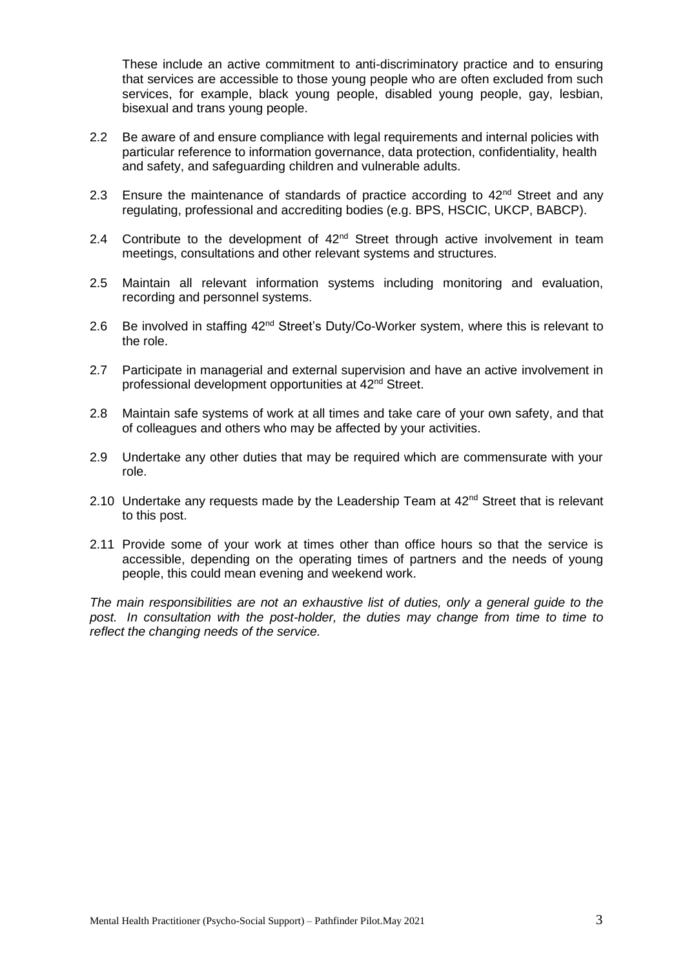These include an active commitment to anti-discriminatory practice and to ensuring that services are accessible to those young people who are often excluded from such services, for example, black young people, disabled young people, gay, lesbian, bisexual and trans young people.

- 2.2 Be aware of and ensure compliance with legal requirements and internal policies with particular reference to information governance, data protection, confidentiality, health and safety, and safeguarding children and vulnerable adults.
- 2.3 Ensure the maintenance of standards of practice according to  $42<sup>nd</sup>$  Street and any regulating, professional and accrediting bodies (e.g. BPS, HSCIC, UKCP, BABCP).
- 2.4 Contribute to the development of  $42^{nd}$  Street through active involvement in team meetings, consultations and other relevant systems and structures.
- 2.5 Maintain all relevant information systems including monitoring and evaluation, recording and personnel systems.
- 2.6 Be involved in staffing 42<sup>nd</sup> Street's Duty/Co-Worker system, where this is relevant to the role.
- 2.7 Participate in managerial and external supervision and have an active involvement in professional development opportunities at 42nd Street.
- 2.8 Maintain safe systems of work at all times and take care of your own safety, and that of colleagues and others who may be affected by your activities.
- 2.9 Undertake any other duties that may be required which are commensurate with your role.
- 2.10 Undertake any requests made by the Leadership Team at  $42<sup>nd</sup>$  Street that is relevant to this post.
- 2.11 Provide some of your work at times other than office hours so that the service is accessible, depending on the operating times of partners and the needs of young people, this could mean evening and weekend work.

*The main responsibilities are not an exhaustive list of duties, only a general guide to the post. In consultation with the post-holder, the duties may change from time to time to reflect the changing needs of the service.*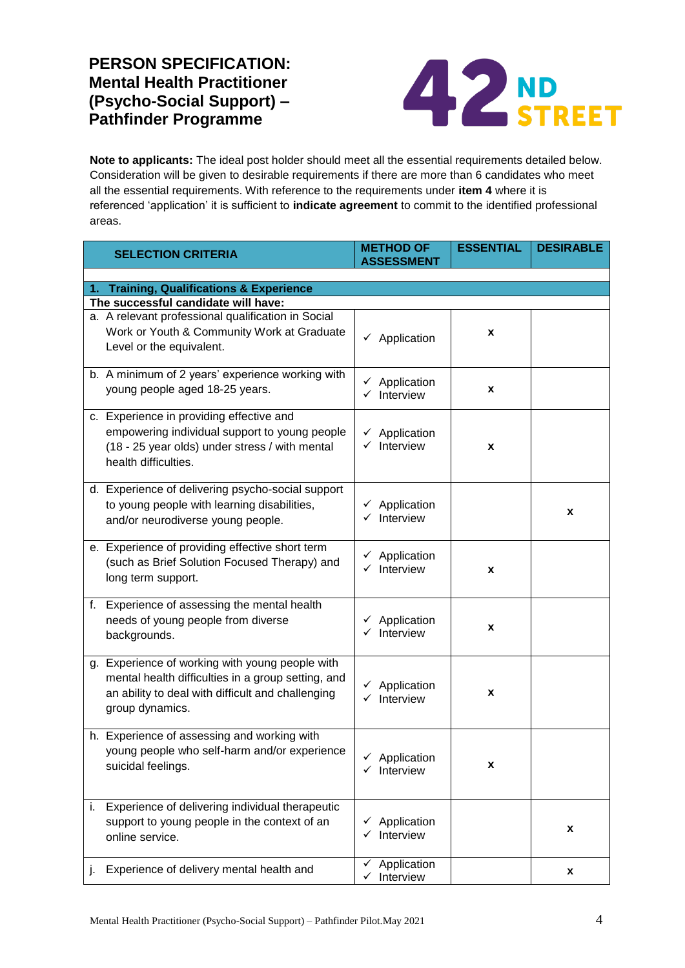## **PERSON SPECIFICATION: Mental Health Practitioner (Psycho-Social Support) – Pathfinder Programme**



**Note to applicants:** The ideal post holder should meet all the essential requirements detailed below. Consideration will be given to desirable requirements if there are more than 6 candidates who meet all the essential requirements. With reference to the requirements under **item 4** where it is referenced 'application' it is sufficient to **indicate agreement** to commit to the identified professional areas.

|    | <b>SELECTION CRITERIA</b>                                                                                                                                                     | <b>METHOD OF</b><br><b>ASSESSMENT</b>              | <b>ESSENTIAL</b> | <b>DESIRABLE</b> |  |  |  |
|----|-------------------------------------------------------------------------------------------------------------------------------------------------------------------------------|----------------------------------------------------|------------------|------------------|--|--|--|
|    |                                                                                                                                                                               |                                                    |                  |                  |  |  |  |
|    | 1. Training, Qualifications & Experience                                                                                                                                      |                                                    |                  |                  |  |  |  |
|    | The successful candidate will have:                                                                                                                                           |                                                    |                  |                  |  |  |  |
|    | a. A relevant professional qualification in Social<br>Work or Youth & Community Work at Graduate<br>Level or the equivalent.                                                  | $\checkmark$ Application                           | X                |                  |  |  |  |
|    | b. A minimum of 2 years' experience working with<br>young people aged 18-25 years.                                                                                            | $\checkmark$ Application<br>$\checkmark$ Interview | X                |                  |  |  |  |
|    | c. Experience in providing effective and<br>empowering individual support to young people<br>(18 - 25 year olds) under stress / with mental<br>health difficulties.           | $\checkmark$ Application<br>$\checkmark$ Interview | X                |                  |  |  |  |
|    | d. Experience of delivering psycho-social support<br>to young people with learning disabilities,<br>and/or neurodiverse young people.                                         | $\checkmark$ Application<br>$\checkmark$ Interview |                  | x                |  |  |  |
|    | e. Experience of providing effective short term<br>(such as Brief Solution Focused Therapy) and<br>long term support.                                                         | $\checkmark$ Application<br>$\checkmark$ Interview | X                |                  |  |  |  |
|    | f. Experience of assessing the mental health<br>needs of young people from diverse<br>backgrounds.                                                                            | $\checkmark$ Application<br>$\checkmark$ Interview | X                |                  |  |  |  |
|    | g. Experience of working with young people with<br>mental health difficulties in a group setting, and<br>an ability to deal with difficult and challenging<br>group dynamics. | $\checkmark$ Application<br>$\checkmark$ Interview | X                |                  |  |  |  |
|    | h. Experience of assessing and working with<br>young people who self-harm and/or experience<br>suicidal feelings.                                                             | √ Application<br>$\checkmark$ Interview            | X                |                  |  |  |  |
| i. | Experience of delivering individual therapeutic<br>support to young people in the context of an<br>online service.                                                            | $\checkmark$ Application<br>$\checkmark$ Interview |                  | x                |  |  |  |
| J. | Experience of delivery mental health and                                                                                                                                      | Application<br>✓<br>$\checkmark$ Interview         |                  | x                |  |  |  |